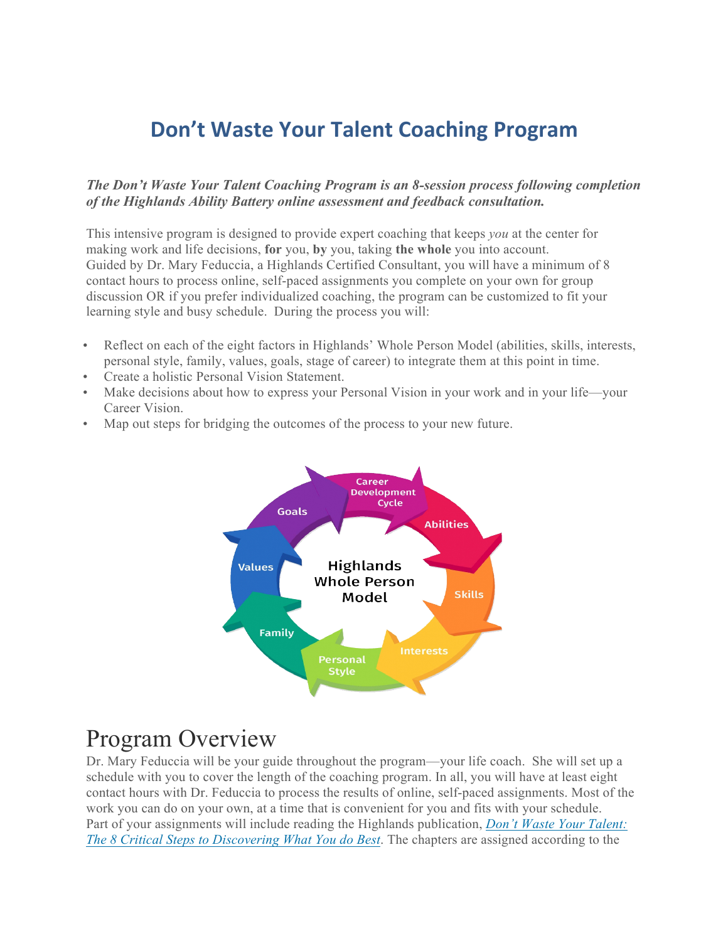#### **Don't Waste Your Talent Coaching Program**

#### *The Don't Waste Your Talent Coaching Program is an 8-session process following completion of the Highlands Ability Battery online assessment and feedback consultation.*

This intensive program is designed to provide expert coaching that keeps *you* at the center for making work and life decisions, **for** you, **by** you, taking **the whole** you into account. Guided by Dr. Mary Feduccia, a Highlands Certified Consultant, you will have a minimum of 8 contact hours to process online, self-paced assignments you complete on your own for group discussion OR if you prefer individualized coaching, the program can be customized to fit your learning style and busy schedule. During the process you will:

- Reflect on each of the eight factors in Highlands' Whole Person Model (abilities, skills, interests, personal style, family, values, goals, stage of career) to integrate them at this point in time.
- Create a holistic Personal Vision Statement.
- Make decisions about how to express your Personal Vision in your work and in your life—your Career Vision.
- Map out steps for bridging the outcomes of the process to your new future.



#### Program Overview

Dr. Mary Feduccia will be your guide throughout the program—your life coach. She will set up a schedule with you to cover the length of the coaching program. In all, you will have at least eight contact hours with Dr. Feduccia to process the results of online, self-paced assignments. Most of the work you can do on your own, at a time that is convenient for you and fits with your schedule. Part of your assignments will include reading the Highlands publication, *Don't Waste Your Talent: The 8 Critical Steps to Discovering What You do Best*. The chapters are assigned according to the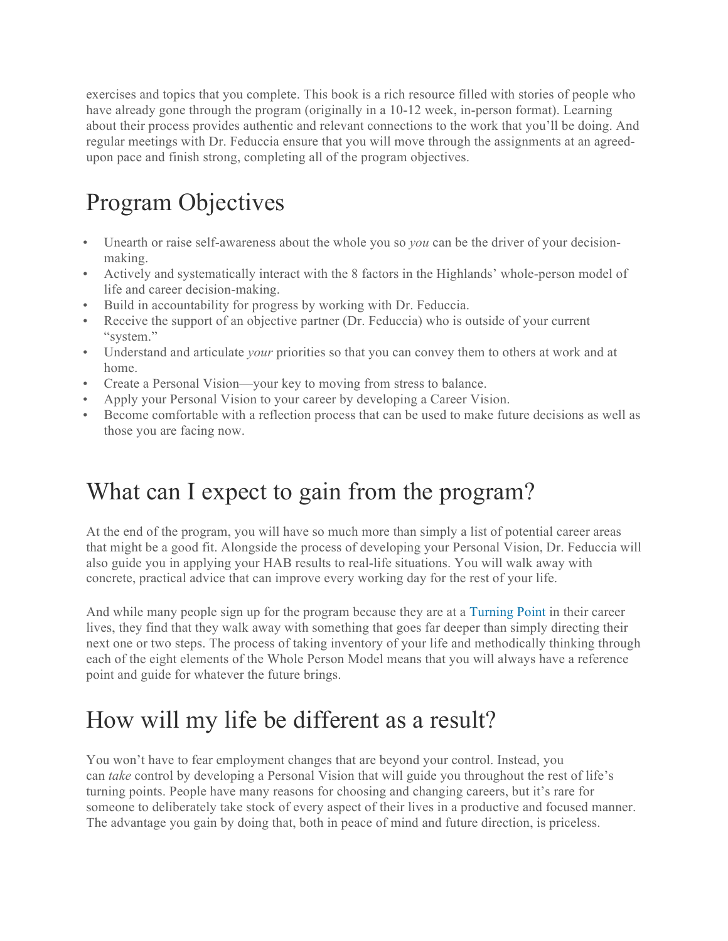exercises and topics that you complete. This book is a rich resource filled with stories of people who have already gone through the program (originally in a 10-12 week, in-person format). Learning about their process provides authentic and relevant connections to the work that you'll be doing. And regular meetings with Dr. Feduccia ensure that you will move through the assignments at an agreedupon pace and finish strong, completing all of the program objectives.

# Program Objectives

- Unearth or raise self-awareness about the whole you so *you* can be the driver of your decisionmaking.
- Actively and systematically interact with the 8 factors in the Highlands' whole-person model of life and career decision-making.
- Build in accountability for progress by working with Dr. Feduccia.
- Receive the support of an objective partner (Dr. Feduccia) who is outside of your current "system."
- Understand and articulate *your* priorities so that you can convey them to others at work and at home.
- Create a Personal Vision—your key to moving from stress to balance.
- Apply your Personal Vision to your career by developing a Career Vision.
- Become comfortable with a reflection process that can be used to make future decisions as well as those you are facing now.

## What can I expect to gain from the program?

At the end of the program, you will have so much more than simply a list of potential career areas that might be a good fit. Alongside the process of developing your Personal Vision, Dr. Feduccia will also guide you in applying your HAB results to real-life situations. You will walk away with concrete, practical advice that can improve every working day for the rest of your life.

And while many people sign up for the program because they are at a Turning Point in their career lives, they find that they walk away with something that goes far deeper than simply directing their next one or two steps. The process of taking inventory of your life and methodically thinking through each of the eight elements of the Whole Person Model means that you will always have a reference point and guide for whatever the future brings.

## How will my life be different as a result?

You won't have to fear employment changes that are beyond your control. Instead, you can *take* control by developing a Personal Vision that will guide you throughout the rest of life's turning points. People have many reasons for choosing and changing careers, but it's rare for someone to deliberately take stock of every aspect of their lives in a productive and focused manner. The advantage you gain by doing that, both in peace of mind and future direction, is priceless.